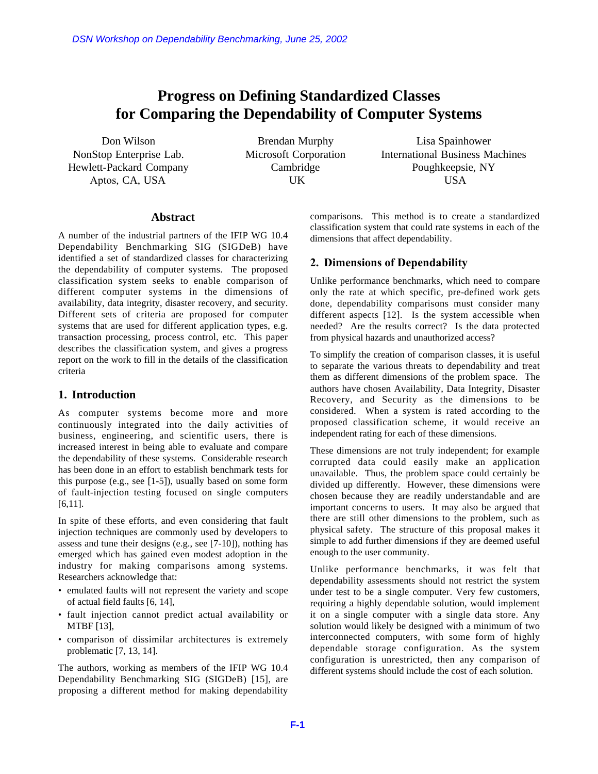# **Progress on Defining Standardized Classes for Comparing the Dependability of Computer Systems**

Hewlett-Packard Company  $\blacksquare$  Cambridge  $\blacksquare$  Poughkeepsie, NY Aptos, CA, USA UK USA USA

Don Wilson Brendan Murphy Lisa Spainhower NonStop Enterprise Lab. Microsoft Corporation International Business Machines

### **Abstract**

A number of the industrial partners of the IFIP WG 10.4 Dependability Benchmarking SIG (SIGDeB) have identified a set of standardized classes for characterizing the dependability of computer systems. The proposed classification system seeks to enable comparison of different computer systems in the dimensions of availability, data integrity, disaster recovery, and security. Different sets of criteria are proposed for computer systems that are used for different application types, e.g. transaction processing, process control, etc. This paper describes the classification system, and gives a progress report on the work to fill in the details of the classification criteria DSN Workshop on Dependability Benchmarking, June 25, 2002<br> **Frogress on Defining Standa<br>
for Comparing the Dependability of<br>
Don Wilson<br>
NonStop Enterprise Lab.<br>
NonStop Enterprise Lab.<br>
Newlett-Packard Company<br>
Aptos, CA,** 

#### **1. Introduction**

As computer systems become more and more continuously integrated into the daily activities of business, engineering, and scientific users, there is increased interest in being able to evaluate and compare the dependability of these systems. Considerable research has been done in an effort to establish benchmark tests for this purpose (e.g., see [1-5]), usually based on some form of fault-injection testing focused on single computers [6,11].

In spite of these efforts, and even considering that fault injection techniques are commonly used by developers to assess and tune their designs (e.g., see [7-10]), nothing has emerged which has gained even modest adoption in the industry for making comparisons among systems. Researchers acknowledge that:

- emulated faults will not represent the variety and scope of actual field faults [6, 14],
- fault injection cannot predict actual availability or MTBF [13],
- comparison of dissimilar architectures is extremely problematic [7, 13, 14].

The authors, working as members of the IFIP WG 10.4 Dependability Benchmarking SIG (SIGDeB) [15], are proposing a different method for making dependability comparisons. This method is to create a standardized classification system that could rate systems in each of the dimensions that affect dependability.

### **2. Dimensions of Dependability**

Unlike performance benchmarks, which need to compare only the rate at which specific, pre-defined work gets done, dependability comparisons must consider many different aspects [12]. Is the system accessible when needed? Are the results correct? Is the data protected from physical hazards and unauthorized access?

To simplify the creation of comparison classes, it is useful to separate the various threats to dependability and treat them as different dimensions of the problem space. The authors have chosen Availability, Data Integrity, Disaster Recovery, and Security as the dimensions to be considered. When a system is rated according to the proposed classification scheme, it would receive an independent rating for each of these dimensions.

These dimensions are not truly independent; for example corrupted data could easily make an application unavailable. Thus, the problem space could certainly be divided up differently. However, these dimensions were chosen because they are readily understandable and are important concerns to users. It may also be argued that there are still other dimensions to the problem, such as physical safety. The structure of this proposal makes it simple to add further dimensions if they are deemed useful enough to the user community.

Unlike performance benchmarks, it was felt that dependability assessments should not restrict the system under test to be a single computer. Very few customers, requiring a highly dependable solution, would implement it on a single computer with a single data store. Any solution would likely be designed with a minimum of two interconnected computers, with some form of highly dependable storage configuration. As the system configuration is unrestricted, then any comparison of different systems should include the cost of each solution.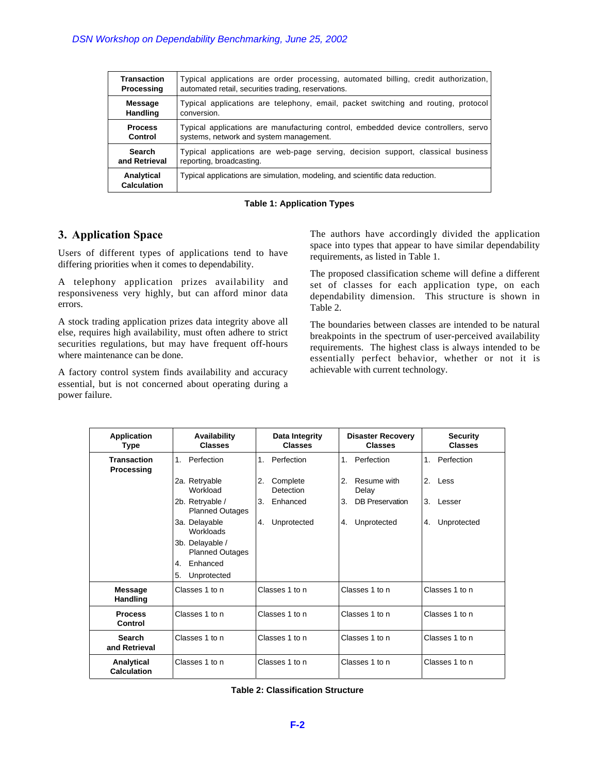| <b>Transaction</b>               | Typical applications are order processing, automated billing, credit authorization, |
|----------------------------------|-------------------------------------------------------------------------------------|
| Processing                       | automated retail, securities trading, reservations.                                 |
| Message                          | Typical applications are telephony, email, packet switching and routing, protocol   |
| Handling                         | conversion.                                                                         |
| <b>Process</b>                   | Typical applications are manufacturing control, embedded device controllers, servo  |
| Control                          | systems, network and system management.                                             |
| <b>Search</b>                    | Typical applications are web-page serving, decision support, classical business     |
| and Retrieval                    | reporting, broadcasting.                                                            |
| Analytical<br><b>Calculation</b> | Typical applications are simulation, modeling, and scientific data reduction.       |

#### **Table 1: Application Types**

## **3. Application Space**

Users of different types of applications tend to have differing priorities when it comes to dependability.

A telephony application prizes availability and responsiveness very highly, but can afford minor data errors.

A stock trading application prizes data integrity above all else, requires high availability, must often adhere to strict securities regulations, but may have frequent off-hours where maintenance can be done.

A factory control system finds availability and accuracy essential, but is not concerned about operating during a power failure.

The authors have accordingly divided the application space into types that appear to have similar dependability requirements, as listed in Table 1.

The proposed classification scheme will define a different set of classes for each application type, on each dependability dimension. This structure is shown in Table 2.

The boundaries between classes are intended to be natural breakpoints in the spectrum of user-perceived availability requirements. The highest class is always intended to be essentially perfect behavior, whether or not it is achievable with current technology.

| <b>Transaction</b><br>Processing             |                                                                                                                                                                        | Typical applications are order processing, automated billing, credit authorization,<br>automated retail, securities trading, reservations. |          |                                                                                                                                                   |                                                   |  |
|----------------------------------------------|------------------------------------------------------------------------------------------------------------------------------------------------------------------------|--------------------------------------------------------------------------------------------------------------------------------------------|----------|---------------------------------------------------------------------------------------------------------------------------------------------------|---------------------------------------------------|--|
| <b>Message</b><br><b>Handling</b>            | conversion.                                                                                                                                                            | Typical applications are telephony, email, packet switching and routing, protocol                                                          |          |                                                                                                                                                   |                                                   |  |
| <b>Process</b><br>Control                    |                                                                                                                                                                        | Typical applications are manufacturing control, embedded device controllers, servo<br>systems, network and system management.              |          |                                                                                                                                                   |                                                   |  |
| <b>Search</b><br>and Retrieval               |                                                                                                                                                                        | Typical applications are web-page serving, decision support, classical business<br>reporting, broadcasting.                                |          |                                                                                                                                                   |                                                   |  |
| Analytical<br><b>Calculation</b>             |                                                                                                                                                                        | Typical applications are simulation, modeling, and scientific data reduction.                                                              |          |                                                                                                                                                   |                                                   |  |
|                                              |                                                                                                                                                                        | <b>Table 1: Application Types</b>                                                                                                          |          |                                                                                                                                                   |                                                   |  |
| <b>Application Space</b>                     | ers of different types of applications tend to have                                                                                                                    |                                                                                                                                            |          | The authors have accordingly divided the app<br>space into types that appear to have similar depen<br>requirements, as listed in Table 1.         |                                                   |  |
|                                              | ering priorities when it comes to dependability.<br>telephony application prizes availability and<br>ponsiveness very highly, but can afford minor data                |                                                                                                                                            | Table 2. | The proposed classification scheme will define a<br>set of classes for each application type, or<br>dependability dimension. This structure is sl |                                                   |  |
|                                              | tock trading application prizes data integrity above all<br>e, requires high availability, must often adhere to strict                                                 |                                                                                                                                            |          | The boundaries between classes are intended to be                                                                                                 | breakpoints in the spectrum of user-perceived ava |  |
| ere maintenance can be done.<br>ver failure. | urities regulations, but may have frequent off-hours<br>actory control system finds availability and accuracy<br>ential, but is not concerned about operating during a |                                                                                                                                            |          | requirements. The highest class is always intend<br>essentially perfect behavior, whether or no<br>achievable with current technology.            |                                                   |  |
| <b>Application</b>                           | <b>Availability</b>                                                                                                                                                    | Data Integrity                                                                                                                             |          | <b>Disaster Recovery</b>                                                                                                                          | <b>Security</b>                                   |  |
| Type<br><b>Transaction</b><br>Processing     | <b>Classes</b><br>1. Perfection<br>2a. Retryable<br>Workload                                                                                                           | <b>Classes</b><br>1. Perfection<br>2. Complete<br>Detection                                                                                |          | <b>Classes</b><br>1. Perfection<br>2. Resume with<br>Delay                                                                                        | <b>Classes</b><br>1. Perfection<br>2. Less        |  |
|                                              | 2b. Retryable /<br><b>Planned Outages</b><br>3a. Delayable<br>Workloads<br>3b. Delayable /<br><b>Planned Outages</b><br>Enhanced<br>4.<br>5.<br>Unprotected            | 3. Enhanced<br>4. Unprotected                                                                                                              |          | <b>DB</b> Preservation<br>3.<br>4. Unprotected                                                                                                    | 3. Lesser<br>Unprotected<br>4.                    |  |
| <b>Message</b><br><b>Handling</b>            | Classes 1 to n                                                                                                                                                         | Classes 1 to n                                                                                                                             |          | Classes 1 to n                                                                                                                                    | Classes 1 to n                                    |  |
| <b>Process</b><br>Control                    | Classes 1 to n                                                                                                                                                         | Classes 1 to n                                                                                                                             |          | Classes 1 to n                                                                                                                                    | Classes 1 to n                                    |  |
| <b>Search</b><br>and Retrieval               | Classes 1 to n                                                                                                                                                         | Classes 1 to n                                                                                                                             |          | Classes 1 to n                                                                                                                                    | Classes 1 to n                                    |  |

**Table 2: Classification Structure**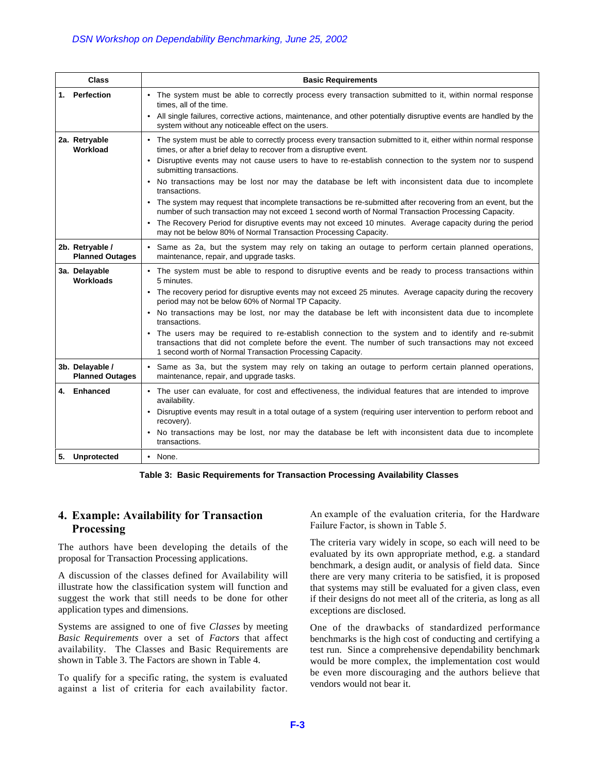| <b>Class</b>                                                                                             |                                                                                                                                                                                                                                                                      |                                                                                                                                                                                                                                                                                                                                                                                                                                                                                                |  |  |  |
|----------------------------------------------------------------------------------------------------------|----------------------------------------------------------------------------------------------------------------------------------------------------------------------------------------------------------------------------------------------------------------------|------------------------------------------------------------------------------------------------------------------------------------------------------------------------------------------------------------------------------------------------------------------------------------------------------------------------------------------------------------------------------------------------------------------------------------------------------------------------------------------------|--|--|--|
| 1. Perfection                                                                                            |                                                                                                                                                                                                                                                                      | <b>Basic Requirements</b>                                                                                                                                                                                                                                                                                                                                                                                                                                                                      |  |  |  |
|                                                                                                          | • The system must be able to correctly process every transaction submitted to it, within normal response<br>times, all of the time.                                                                                                                                  |                                                                                                                                                                                                                                                                                                                                                                                                                                                                                                |  |  |  |
|                                                                                                          | system without any noticeable effect on the users.                                                                                                                                                                                                                   | All single failures, corrective actions, maintenance, and other potentially disruptive events are handled by the                                                                                                                                                                                                                                                                                                                                                                               |  |  |  |
| 2a. Retryable<br>Workload                                                                                | • The system must be able to correctly process every transaction submitted to it, either within normal response<br>times, or after a brief delay to recover from a disruptive event.                                                                                 |                                                                                                                                                                                                                                                                                                                                                                                                                                                                                                |  |  |  |
|                                                                                                          | Disruptive events may not cause users to have to re-establish connection to the system nor to suspend                                                                                                                                                                |                                                                                                                                                                                                                                                                                                                                                                                                                                                                                                |  |  |  |
|                                                                                                          | submitting transactions.<br>No transactions may be lost nor may the database be left with inconsistent data due to incomplete<br>transactions.                                                                                                                       |                                                                                                                                                                                                                                                                                                                                                                                                                                                                                                |  |  |  |
|                                                                                                          |                                                                                                                                                                                                                                                                      | • The system may request that incomplete transactions be re-submitted after recovering from an event, but the<br>number of such transaction may not exceed 1 second worth of Normal Transaction Processing Capacity.                                                                                                                                                                                                                                                                           |  |  |  |
|                                                                                                          | may not be below 80% of Normal Transaction Processing Capacity.                                                                                                                                                                                                      | The Recovery Period for disruptive events may not exceed 10 minutes. Average capacity during the period                                                                                                                                                                                                                                                                                                                                                                                        |  |  |  |
| 2b. Retryable /<br><b>Planned Outages</b>                                                                | maintenance, repair, and upgrade tasks.                                                                                                                                                                                                                              | Same as 2a, but the system may rely on taking an outage to perform certain planned operations,                                                                                                                                                                                                                                                                                                                                                                                                 |  |  |  |
| 3a. Delayable<br><b>Workloads</b>                                                                        | 5 minutes.                                                                                                                                                                                                                                                           | • The system must be able to respond to disruptive events and be ready to process transactions within                                                                                                                                                                                                                                                                                                                                                                                          |  |  |  |
|                                                                                                          | period may not be below 60% of Normal TP Capacity.                                                                                                                                                                                                                   | • The recovery period for disruptive events may not exceed 25 minutes. Average capacity during the recovery                                                                                                                                                                                                                                                                                                                                                                                    |  |  |  |
|                                                                                                          | transactions.                                                                                                                                                                                                                                                        | No transactions may be lost, nor may the database be left with inconsistent data due to incomplete                                                                                                                                                                                                                                                                                                                                                                                             |  |  |  |
|                                                                                                          | The users may be required to re-establish connection to the system and to identify and re-submit<br>transactions that did not complete before the event. The number of such transactions may not exceed<br>1 second worth of Normal Transaction Processing Capacity. |                                                                                                                                                                                                                                                                                                                                                                                                                                                                                                |  |  |  |
| 3b. Delayable /<br><b>Planned Outages</b>                                                                | maintenance, repair, and upgrade tasks.                                                                                                                                                                                                                              | • Same as 3a, but the system may rely on taking an outage to perform certain planned operations,                                                                                                                                                                                                                                                                                                                                                                                               |  |  |  |
| 4. Enhanced                                                                                              | • The user can evaluate, for cost and effectiveness, the individual features that are intended to improve<br>availability.                                                                                                                                           |                                                                                                                                                                                                                                                                                                                                                                                                                                                                                                |  |  |  |
|                                                                                                          | Disruptive events may result in a total outage of a system (requiring user intervention to perform reboot and<br>$\bullet$                                                                                                                                           |                                                                                                                                                                                                                                                                                                                                                                                                                                                                                                |  |  |  |
|                                                                                                          | recovery).<br>No transactions may be lost, nor may the database be left with inconsistent data due to incomplete<br>transactions.                                                                                                                                    |                                                                                                                                                                                                                                                                                                                                                                                                                                                                                                |  |  |  |
| Unprotected<br>5.                                                                                        | • None.                                                                                                                                                                                                                                                              |                                                                                                                                                                                                                                                                                                                                                                                                                                                                                                |  |  |  |
|                                                                                                          |                                                                                                                                                                                                                                                                      | Table 3: Basic Requirements for Transaction Processing Availability Classes                                                                                                                                                                                                                                                                                                                                                                                                                    |  |  |  |
| 4. Example: Availability for Transaction<br>Processing                                                   |                                                                                                                                                                                                                                                                      | An example of the evaluation criteria, for the Hardware<br>Failure Factor, is shown in Table 5.                                                                                                                                                                                                                                                                                                                                                                                                |  |  |  |
| The authors have been developing the details of the<br>proposal for Transaction Processing applications. |                                                                                                                                                                                                                                                                      | The criteria vary widely in scope, so each will need to be<br>evaluated by its own appropriate method, e.g. a standard<br>benchmark, a design audit, or analysis of field data. Since                                                                                                                                                                                                                                                                                                          |  |  |  |
|                                                                                                          |                                                                                                                                                                                                                                                                      |                                                                                                                                                                                                                                                                                                                                                                                                                                                                                                |  |  |  |
|                                                                                                          | A discussion of the classes defined for Availability will<br>illustrate how the classification system will function and<br>suggest the work that still needs to be done for other                                                                                    | exceptions are disclosed.                                                                                                                                                                                                                                                                                                                                                                                                                                                                      |  |  |  |
| application types and dimensions.                                                                        | Systems are assigned to one of five Classes by meeting<br>Basic Requirements over a set of Factors that affect<br>availability. The Classes and Basic Requirements are<br>shown in Table 3. The Factors are shown in Table 4.                                        | there are very many criteria to be satisfied, it is proposed<br>that systems may still be evaluated for a given class, even<br>if their designs do not meet all of the criteria, as long as all<br>One of the drawbacks of standardized performance<br>benchmarks is the high cost of conducting and certifying a<br>test run. Since a comprehensive dependability benchmark<br>would be more complex, the implementation cost would<br>be even more discouraging and the authors believe that |  |  |  |

**Table 3: Basic Requirements for Transaction Processing Availability Classes**

## **4. Example: Availability for Transaction Processing**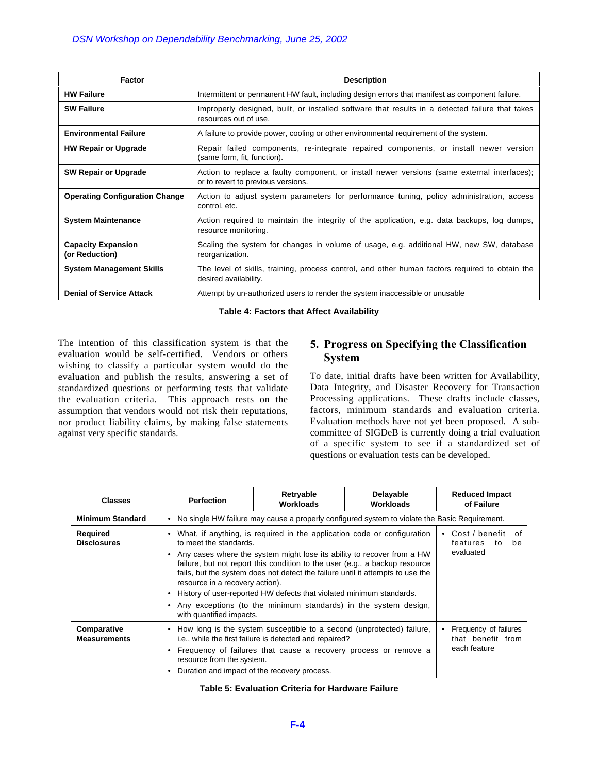| Factor                                                                                                                                                                                                                                                                                                                                                                                                                                                                                  |                                                           | <b>Description</b>                                                                                                                |                                                                                                           |                                                                                                                                                                                                                                                                                                                                                                                                                                                                       |                                                                                     |
|-----------------------------------------------------------------------------------------------------------------------------------------------------------------------------------------------------------------------------------------------------------------------------------------------------------------------------------------------------------------------------------------------------------------------------------------------------------------------------------------|-----------------------------------------------------------|-----------------------------------------------------------------------------------------------------------------------------------|-----------------------------------------------------------------------------------------------------------|-----------------------------------------------------------------------------------------------------------------------------------------------------------------------------------------------------------------------------------------------------------------------------------------------------------------------------------------------------------------------------------------------------------------------------------------------------------------------|-------------------------------------------------------------------------------------|
| <b>HW Failure</b>                                                                                                                                                                                                                                                                                                                                                                                                                                                                       |                                                           | Intermittent or permanent HW fault, including design errors that manifest as component failure.                                   |                                                                                                           |                                                                                                                                                                                                                                                                                                                                                                                                                                                                       |                                                                                     |
| <b>SW Failure</b>                                                                                                                                                                                                                                                                                                                                                                                                                                                                       |                                                           | Improperly designed, built, or installed software that results in a detected failure that takes<br>resources out of use.          |                                                                                                           |                                                                                                                                                                                                                                                                                                                                                                                                                                                                       |                                                                                     |
| <b>Environmental Failure</b>                                                                                                                                                                                                                                                                                                                                                                                                                                                            |                                                           | A failure to provide power, cooling or other environmental requirement of the system.                                             |                                                                                                           |                                                                                                                                                                                                                                                                                                                                                                                                                                                                       |                                                                                     |
| <b>HW Repair or Upgrade</b>                                                                                                                                                                                                                                                                                                                                                                                                                                                             |                                                           | Repair failed components, re-integrate repaired components, or install newer version<br>(same form, fit, function).               |                                                                                                           |                                                                                                                                                                                                                                                                                                                                                                                                                                                                       |                                                                                     |
| <b>SW Repair or Upgrade</b>                                                                                                                                                                                                                                                                                                                                                                                                                                                             |                                                           | Action to replace a faulty component, or install newer versions (same external interfaces);<br>or to revert to previous versions. |                                                                                                           |                                                                                                                                                                                                                                                                                                                                                                                                                                                                       |                                                                                     |
| <b>Operating Configuration Change</b>                                                                                                                                                                                                                                                                                                                                                                                                                                                   | control, etc.                                             |                                                                                                                                   |                                                                                                           | Action to adjust system parameters for performance tuning, policy administration, access                                                                                                                                                                                                                                                                                                                                                                              |                                                                                     |
| <b>System Maintenance</b>                                                                                                                                                                                                                                                                                                                                                                                                                                                               |                                                           | resource monitoring.                                                                                                              |                                                                                                           | Action required to maintain the integrity of the application, e.g. data backups, log dumps,                                                                                                                                                                                                                                                                                                                                                                           |                                                                                     |
| <b>Capacity Expansion</b><br>(or Reduction)                                                                                                                                                                                                                                                                                                                                                                                                                                             |                                                           | reorganization.                                                                                                                   |                                                                                                           | Scaling the system for changes in volume of usage, e.g. additional HW, new SW, database                                                                                                                                                                                                                                                                                                                                                                               |                                                                                     |
| <b>System Management Skills</b>                                                                                                                                                                                                                                                                                                                                                                                                                                                         |                                                           | desired availability.                                                                                                             |                                                                                                           | The level of skills, training, process control, and other human factors required to obtain the                                                                                                                                                                                                                                                                                                                                                                        |                                                                                     |
| <b>Denial of Service Attack</b>                                                                                                                                                                                                                                                                                                                                                                                                                                                         |                                                           |                                                                                                                                   |                                                                                                           | Attempt by un-authorized users to render the system inaccessible or unusable                                                                                                                                                                                                                                                                                                                                                                                          |                                                                                     |
|                                                                                                                                                                                                                                                                                                                                                                                                                                                                                         |                                                           |                                                                                                                                   | Table 4: Factors that Affect Availability                                                                 |                                                                                                                                                                                                                                                                                                                                                                                                                                                                       |                                                                                     |
|                                                                                                                                                                                                                                                                                                                                                                                                                                                                                         | This approach rests on the                                |                                                                                                                                   |                                                                                                           | 5. Progress on Specifying the Classification<br><b>System</b><br>To date, initial drafts have been written for Availability,<br>Data Integrity, and Disaster Recovery for Transaction<br>Processing applications. These drafts include classes,<br>factors, minimum standards and evaluation criteria.<br>Evaluation methods have not yet been proposed. A sub-                                                                                                       |                                                                                     |
| The intention of this classification system is that the<br>evaluation would be self-certified. Vendors or others<br>wishing to classify a particular system would do the<br>evaluation and publish the results, answering a set of<br>standardized questions or performing tests that validate<br>the evaluation criteria.<br>assumption that vendors would not risk their reputations,<br>nor product liability claims, by making false statements<br>against very specific standards. |                                                           |                                                                                                                                   | Retryable                                                                                                 | committee of SIGDeB is currently doing a trial evaluation<br>of a specific system to see if a standardized set of<br>questions or evaluation tests can be developed.<br>Delayable                                                                                                                                                                                                                                                                                     | <b>Reduced Impact</b>                                                               |
| <b>Classes</b>                                                                                                                                                                                                                                                                                                                                                                                                                                                                          | <b>Perfection</b>                                         |                                                                                                                                   | Workloads                                                                                                 | Workloads                                                                                                                                                                                                                                                                                                                                                                                                                                                             | of Failure                                                                          |
| <b>Minimum Standard</b>                                                                                                                                                                                                                                                                                                                                                                                                                                                                 |                                                           |                                                                                                                                   |                                                                                                           | • No single HW failure may cause a properly configured system to violate the Basic Requirement.                                                                                                                                                                                                                                                                                                                                                                       |                                                                                     |
| Required<br><b>Disclosures</b>                                                                                                                                                                                                                                                                                                                                                                                                                                                          | to meet the standards.<br>resource in a recovery action). |                                                                                                                                   |                                                                                                           | • What, if anything, is required in the application code or configuration<br>• Any cases where the system might lose its ability to recover from a HW<br>failure, but not report this condition to the user (e.g., a backup resource<br>fails, but the system does not detect the failure until it attempts to use the<br>• History of user-reported HW defects that violated minimum standards.<br>• Any exceptions (to the minimum standards) in the system design, | features to<br>be<br>evaluated                                                      |
| Comparative<br><b>Measurements</b>                                                                                                                                                                                                                                                                                                                                                                                                                                                      | with quantified impacts.<br>resource from the system.     |                                                                                                                                   | i.e., while the first failure is detected and repaired?<br>• Duration and impact of the recovery process. | • How long is the system susceptible to a second (unprotected) failure,<br>• Frequency of failures that cause a recovery process or remove a                                                                                                                                                                                                                                                                                                                          | • Cost / benefit of<br>• Frequency of failures<br>that benefit from<br>each feature |

# **5. Progress on Specifying the Classification System**

| <b>Classes</b>                        | <b>Perfection</b>                                                                                                                                                                                                                                                                             | Retryable<br>Workloads                                                                                                                                                                                                                                                                                                                                                                                                                                        | Delayable<br>Workloads | <b>Reduced Impact</b><br>of Failure                 |  |  |
|---------------------------------------|-----------------------------------------------------------------------------------------------------------------------------------------------------------------------------------------------------------------------------------------------------------------------------------------------|---------------------------------------------------------------------------------------------------------------------------------------------------------------------------------------------------------------------------------------------------------------------------------------------------------------------------------------------------------------------------------------------------------------------------------------------------------------|------------------------|-----------------------------------------------------|--|--|
| <b>Minimum Standard</b>               | No single HW failure may cause a properly configured system to violate the Basic Requirement.                                                                                                                                                                                                 |                                                                                                                                                                                                                                                                                                                                                                                                                                                               |                        |                                                     |  |  |
| <b>Required</b><br><b>Disclosures</b> | ٠<br>to meet the standards.<br>resource in a recovery action).                                                                                                                                                                                                                                | What, if anything, is required in the application code or configuration<br>Any cases where the system might lose its ability to recover from a HW<br>failure, but not report this condition to the user (e.g., a backup resource<br>fails, but the system does not detect the failure until it attempts to use the<br>History of user-reported HW defects that violated minimum standards.<br>Any exceptions (to the minimum standards) in the system design, |                        | Cost / benefit of<br>features to<br>be<br>evaluated |  |  |
|                                       | with quantified impacts.                                                                                                                                                                                                                                                                      |                                                                                                                                                                                                                                                                                                                                                                                                                                                               |                        |                                                     |  |  |
| Comparative<br><b>Measurements</b>    | How long is the system susceptible to a second (unprotected) failure,<br>$\bullet$<br>i.e., while the first failure is detected and repaired?<br>Frequency of failures that cause a recovery process or remove a<br>resource from the system.<br>Duration and impact of the recovery process. | Frequency of failures<br>that benefit from<br>each feature                                                                                                                                                                                                                                                                                                                                                                                                    |                        |                                                     |  |  |